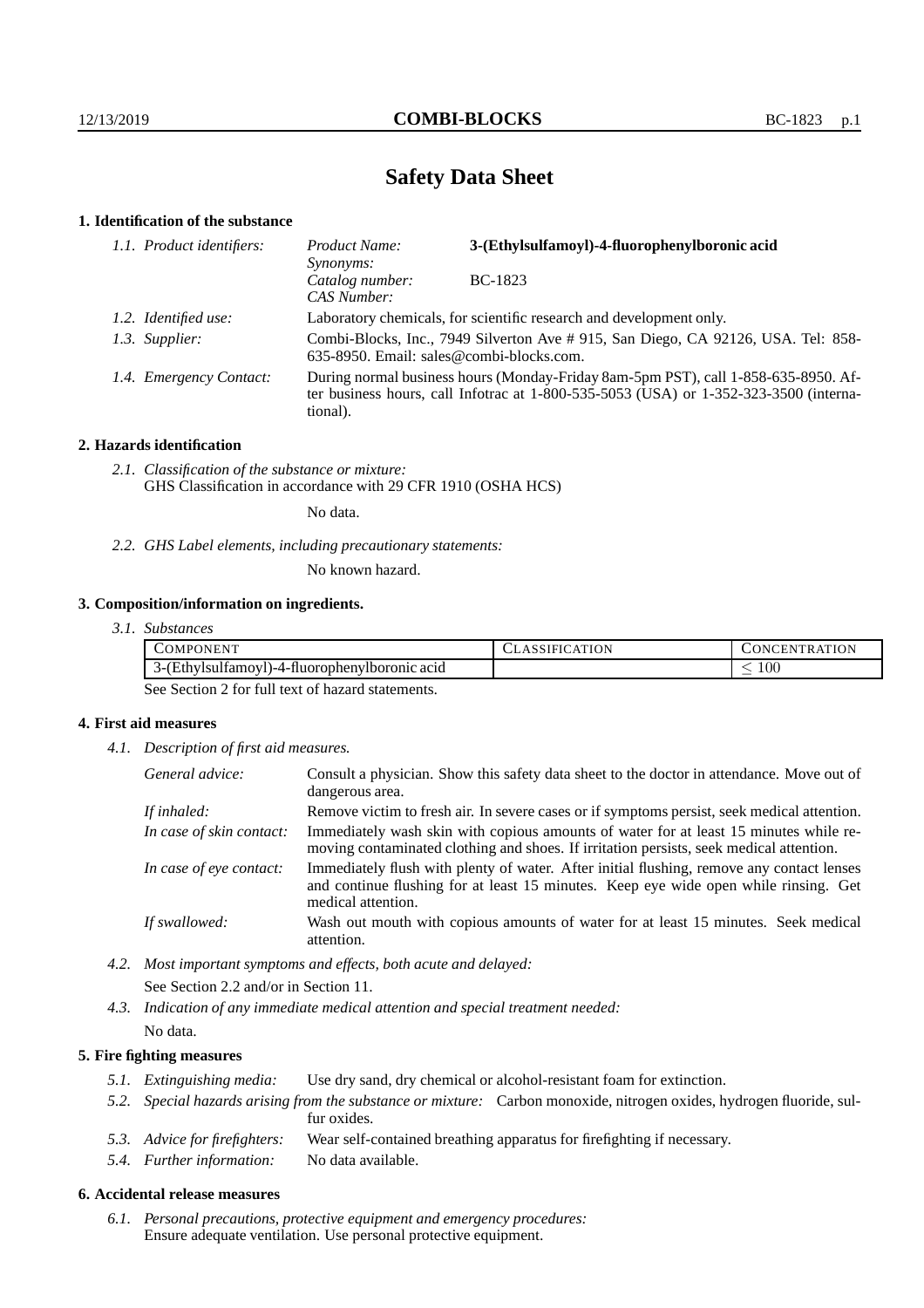## **Safety Data Sheet**

## **1. Identification of the substance**

| 1.1. Product identifiers: | Product Name:<br>Synonyms:                                                                                                                                                                  | 3-(Ethylsulfamoyl)-4-fluorophenylboronic acid |  |
|---------------------------|---------------------------------------------------------------------------------------------------------------------------------------------------------------------------------------------|-----------------------------------------------|--|
|                           | Catalog number:<br>CAS Number:                                                                                                                                                              | BC-1823                                       |  |
| 1.2. Identified use:      | Laboratory chemicals, for scientific research and development only.                                                                                                                         |                                               |  |
| 1.3. Supplier:            | Combi-Blocks, Inc., 7949 Silverton Ave # 915, San Diego, CA 92126, USA. Tel: 858-<br>635-8950. Email: sales@combi-blocks.com.                                                               |                                               |  |
| 1.4. Emergency Contact:   | During normal business hours (Monday-Friday 8am-5pm PST), call 1-858-635-8950. Af-<br>ter business hours, call Infotrac at $1-800-535-5053$ (USA) or $1-352-323-3500$ (interna-<br>tional). |                                               |  |

## **2. Hazards identification**

*2.1. Classification of the substance or mixture:* GHS Classification in accordance with 29 CFR 1910 (OSHA HCS)

No data.

*2.2. GHS Label elements, including precautionary statements:*

No known hazard.

## **3. Composition/information on ingredients.**

| 3.1. Substances |  |
|-----------------|--|
|                 |  |

| $- - -$<br>COMPONENT                                                 | ULASSIFIU. | <b>ATION</b><br>) N (<br>ΉN<br>`К, |
|----------------------------------------------------------------------|------------|------------------------------------|
| $\sim$<br>(Ethvisulfamovi<br>-4-fluorophenviboronic -<br>acid<br>┒–1 |            | $100\,$<br>_                       |

See Section 2 for full text of hazard statements.

## **4. First aid measures**

*4.1. Description of first aid measures.*

| General advice:          | Consult a physician. Show this safety data sheet to the doctor in attendance. Move out of<br>dangerous area.                                                                                            |
|--------------------------|---------------------------------------------------------------------------------------------------------------------------------------------------------------------------------------------------------|
| If inhaled:              | Remove victim to fresh air. In severe cases or if symptoms persist, seek medical attention.                                                                                                             |
| In case of skin contact: | Immediately wash skin with copious amounts of water for at least 15 minutes while re-<br>moving contaminated clothing and shoes. If irritation persists, seek medical attention.                        |
| In case of eye contact:  | Immediately flush with plenty of water. After initial flushing, remove any contact lenses<br>and continue flushing for at least 15 minutes. Keep eye wide open while rinsing. Get<br>medical attention. |
| If swallowed:            | Wash out mouth with copious amounts of water for at least 15 minutes. Seek medical<br>attention.                                                                                                        |

*4.2. Most important symptoms and effects, both acute and delayed:* See Section 2.2 and/or in Section 11.

*4.3. Indication of any immediate medical attention and special treatment needed:* No data.

## **5. Fire fighting measures**

- *5.1. Extinguishing media:* Use dry sand, dry chemical or alcohol-resistant foam for extinction.
- *5.2. Special hazards arising from the substance or mixture:* Carbon monoxide, nitrogen oxides, hydrogen fluoride, sulfur oxides.
- *5.3. Advice for firefighters:* Wear self-contained breathing apparatus for firefighting if necessary.
- *5.4. Further information:* No data available.

#### **6. Accidental release measures**

*6.1. Personal precautions, protective equipment and emergency procedures:* Ensure adequate ventilation. Use personal protective equipment.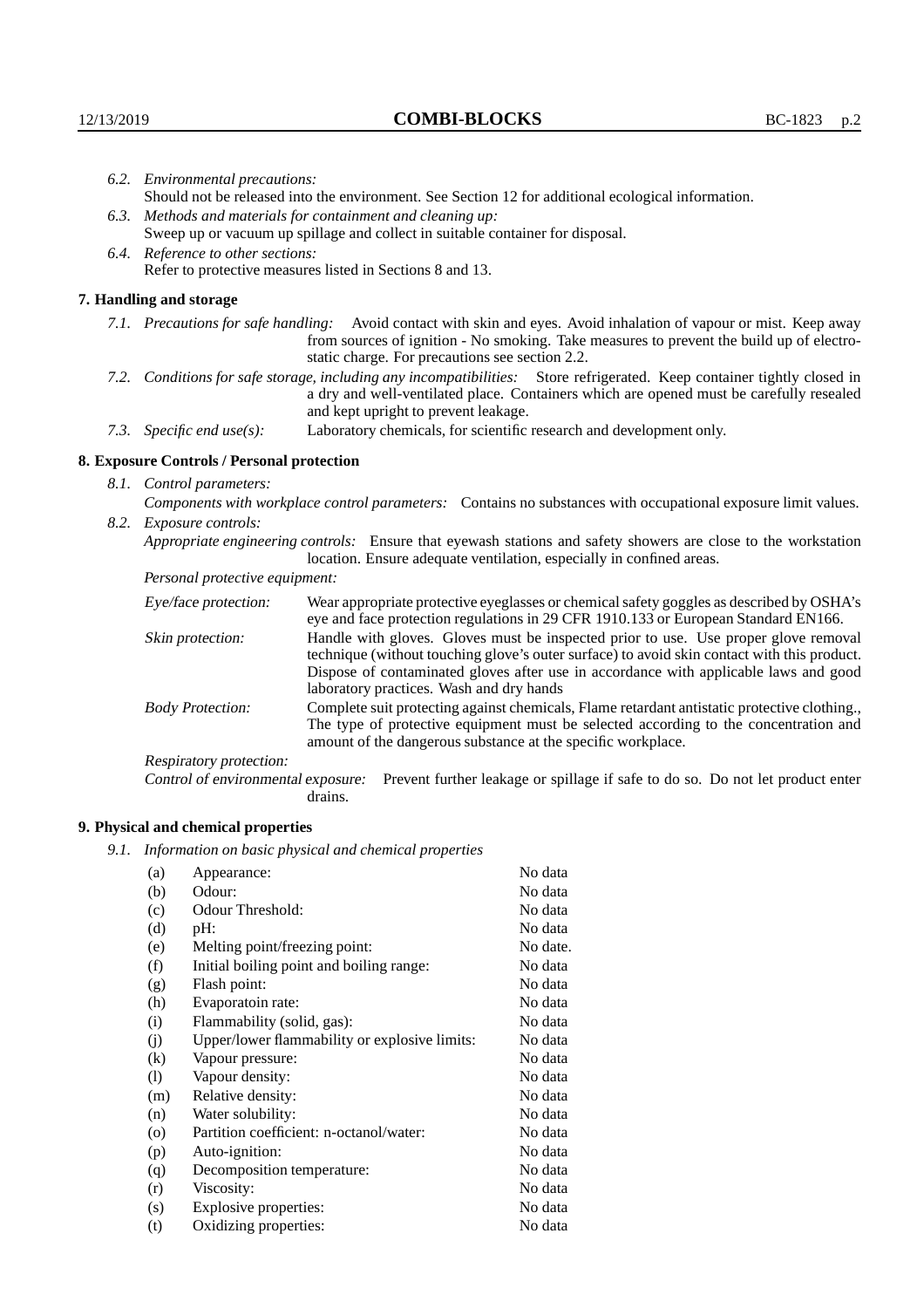|                                                                                                               | 6.2. Environmental precautions:                                                                                                                                                                                                                            |                                                                                                                                                                                                                                                                    |  |  |  |
|---------------------------------------------------------------------------------------------------------------|------------------------------------------------------------------------------------------------------------------------------------------------------------------------------------------------------------------------------------------------------------|--------------------------------------------------------------------------------------------------------------------------------------------------------------------------------------------------------------------------------------------------------------------|--|--|--|
|                                                                                                               |                                                                                                                                                                                                                                                            | Should not be released into the environment. See Section 12 for additional ecological information.                                                                                                                                                                 |  |  |  |
|                                                                                                               | 6.3. Methods and materials for containment and cleaning up:                                                                                                                                                                                                |                                                                                                                                                                                                                                                                    |  |  |  |
|                                                                                                               | Sweep up or vacuum up spillage and collect in suitable container for disposal.                                                                                                                                                                             |                                                                                                                                                                                                                                                                    |  |  |  |
|                                                                                                               | 6.4. Reference to other sections:                                                                                                                                                                                                                          |                                                                                                                                                                                                                                                                    |  |  |  |
|                                                                                                               |                                                                                                                                                                                                                                                            | Refer to protective measures listed in Sections 8 and 13.                                                                                                                                                                                                          |  |  |  |
|                                                                                                               | 7. Handling and storage                                                                                                                                                                                                                                    |                                                                                                                                                                                                                                                                    |  |  |  |
|                                                                                                               |                                                                                                                                                                                                                                                            | 7.1. Precautions for safe handling: Avoid contact with skin and eyes. Avoid inhalation of vapour or mist. Keep away<br>from sources of ignition - No smoking. Take measures to prevent the build up of electro-<br>static charge. For precautions see section 2.2. |  |  |  |
|                                                                                                               | 7.2. Conditions for safe storage, including any incompatibilities: Store refrigerated. Keep container tightly closed in<br>a dry and well-ventilated place. Containers which are opened must be carefully resealed<br>and kept upright to prevent leakage. |                                                                                                                                                                                                                                                                    |  |  |  |
|                                                                                                               | 7.3. Specific end use(s):                                                                                                                                                                                                                                  | Laboratory chemicals, for scientific research and development only.                                                                                                                                                                                                |  |  |  |
|                                                                                                               | 8. Exposure Controls / Personal protection                                                                                                                                                                                                                 |                                                                                                                                                                                                                                                                    |  |  |  |
|                                                                                                               | 8.1. Control parameters:                                                                                                                                                                                                                                   |                                                                                                                                                                                                                                                                    |  |  |  |
| Components with workplace control parameters: Contains no substances with occupational exposure limit values. |                                                                                                                                                                                                                                                            |                                                                                                                                                                                                                                                                    |  |  |  |
|                                                                                                               | 8.2. Exposure controls:                                                                                                                                                                                                                                    |                                                                                                                                                                                                                                                                    |  |  |  |
|                                                                                                               |                                                                                                                                                                                                                                                            | Appropriate engineering controls: Ensure that eyewash stations and safety showers are close to the workstation<br>location. Ensure adequate ventilation, especially in confined areas.                                                                             |  |  |  |
|                                                                                                               | Personal protective equipment:                                                                                                                                                                                                                             |                                                                                                                                                                                                                                                                    |  |  |  |
|                                                                                                               | Eye/face protection:                                                                                                                                                                                                                                       | Wear appropriate protective eyeglasses or chemical safety goggles as described by OSHA's<br>eye and face protection regulations in 29 CFR 1910.133 or European Standard EN166.                                                                                     |  |  |  |
|                                                                                                               | Skin protection:                                                                                                                                                                                                                                           | Handle with gloves. Gloves must be inspected prior to use. Use proper glove removal<br>technique (without touching glove's outer surface) to avoid skin contact with this product.                                                                                 |  |  |  |

## **8. Exposure Controls / Personal protection**

| Eye/face protection:                                                                                                                                                                                                                                                            | Wear appropriate protective eyeglasses or chemical safety goggles as described by OSHA's<br>eye and face protection regulations in 29 CFR 1910.133 or European Standard EN166.                                                                                                                                         |  |  |
|---------------------------------------------------------------------------------------------------------------------------------------------------------------------------------------------------------------------------------------------------------------------------------|------------------------------------------------------------------------------------------------------------------------------------------------------------------------------------------------------------------------------------------------------------------------------------------------------------------------|--|--|
| Skin protection:                                                                                                                                                                                                                                                                | Handle with gloves. Gloves must be inspected prior to use. Use proper glove removal<br>technique (without touching glove's outer surface) to avoid skin contact with this product.<br>Dispose of contaminated gloves after use in accordance with applicable laws and good<br>laboratory practices. Wash and dry hands |  |  |
| Complete suit protecting against chemicals, Flame retardant antistatic protective clothing.,<br><b>Body Protection:</b><br>The type of protective equipment must be selected according to the concentration and<br>amount of the dangerous substance at the specific workplace. |                                                                                                                                                                                                                                                                                                                        |  |  |
| Respiratory protection:                                                                                                                                                                                                                                                         |                                                                                                                                                                                                                                                                                                                        |  |  |
| Control of environmental exposure:                                                                                                                                                                                                                                              | Prevent further leakage or spillage if safe to do so. Do not let product enter<br>drains.                                                                                                                                                                                                                              |  |  |

# **9. Physical and chemical properties**

*9.1. Information on basic physical and chemical properties*

| (a)       | Appearance:                                   | No data  |
|-----------|-----------------------------------------------|----------|
| (b)       | Odour:                                        | No data  |
| (c)       | Odour Threshold:                              | No data  |
| (d)       | pH:                                           | No data  |
| (e)       | Melting point/freezing point:                 | No date. |
| (f)       | Initial boiling point and boiling range:      | No data  |
| (g)       | Flash point:                                  | No data  |
| (h)       | Evaporatoin rate:                             | No data  |
| (i)       | Flammability (solid, gas):                    | No data  |
| (j)       | Upper/lower flammability or explosive limits: | No data  |
| (k)       | Vapour pressure:                              | No data  |
| (1)       | Vapour density:                               | No data  |
| (m)       | Relative density:                             | No data  |
| (n)       | Water solubility:                             | No data  |
| $\rm (o)$ | Partition coefficient: n-octanol/water:       | No data  |
| (p)       | Auto-ignition:                                | No data  |
| (q)       | Decomposition temperature:                    | No data  |
| (r)       | Viscosity:                                    | No data  |
| (s)       | Explosive properties:                         | No data  |
| (t)       | Oxidizing properties:                         | No data  |